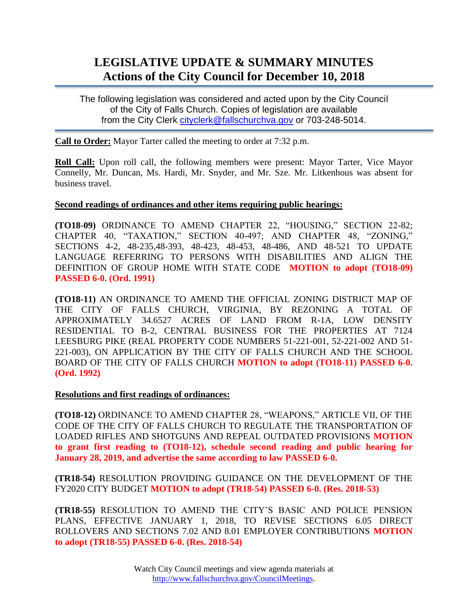# **LEGISLATIVE UPDATE & SUMMARY MINUTES Actions of the City Council for December 10, 2018**

The following legislation was considered and acted upon by the City Council of the City of Falls Church. Copies of legislation are available from the City Clerk [cityclerk@fallschurchva.gov](mailto:cityclerk@fallschurchva.gov) or 703-248-5014.

**Call to Order:** Mayor Tarter called the meeting to order at 7:32 p.m.

**Roll Call:** Upon roll call, the following members were present: Mayor Tarter, Vice Mayor Connelly, Mr. Duncan, Ms. Hardi, Mr. Snyder, and Mr. Sze. Mr. Litkenhous was absent for business travel.

### **Second readings of ordinances and other items requiring public hearings:**

**(TO18-09)** ORDINANCE TO AMEND CHAPTER 22, "HOUSING," SECTION 22-82; CHAPTER 40, "TAXATION," SECTION 40-497; AND CHAPTER 48, "ZONING," SECTIONS 4-2, 48-235,48-393, 48-423, 48-453, 48-486, AND 48-521 TO UPDATE LANGUAGE REFERRING TO PERSONS WITH DISABILITIES AND ALIGN THE DEFINITION OF GROUP HOME WITH STATE CODE **MOTION to adopt (TO18-09) PASSED 6-0. (Ord. 1991)**

**(TO18-11)** AN ORDINANCE TO AMEND THE OFFICIAL ZONING DISTRICT MAP OF THE CITY OF FALLS CHURCH, VIRGINIA, BY REZONING A TOTAL OF APPROXIMATELY 34.6527 ACRES OF LAND FROM R-1A, LOW DENSITY RESIDENTIAL TO B-2, CENTRAL BUSINESS FOR THE PROPERTIES AT 7124 LEESBURG PIKE (REAL PROPERTY CODE NUMBERS 51-221-001, 52-221-002 AND 51- 221-003), ON APPLICATION BY THE CITY OF FALLS CHURCH AND THE SCHOOL BOARD OF THE CITY OF FALLS CHURCH **MOTION to adopt (TO18-11) PASSED 6-0. (Ord. 1992)**

#### **Resolutions and first readings of ordinances:**

**(TO18-12)** ORDINANCE TO AMEND CHAPTER 28, "WEAPONS," ARTICLE VII, OF THE CODE OF THE CITY OF FALLS CHURCH TO REGULATE THE TRANSPORTATION OF LOADED RIFLES AND SHOTGUNS AND REPEAL OUTDATED PROVISIONS **MOTION to grant first reading to (TO18-12), schedule second reading and public hearing for January 28, 2019, and advertise the same according to law PASSED 6-0.**

**(TR18-54)** RESOLUTION PROVIDING GUIDANCE ON THE DEVELOPMENT OF THE FY2020 CITY BUDGET **MOTION to adopt (TR18-54) PASSED 6-0. (Res. 2018-53)**

**(TR18-55)** RESOLUTION TO AMEND THE CITY'S BASIC AND POLICE PENSION PLANS, EFFECTIVE JANUARY 1, 2018, TO REVISE SECTIONS 6.05 DIRECT ROLLOVERS AND SECTIONS 7.02 AND 8.01 EMPLOYER CONTRIBUTIONS **MOTION to adopt (TR18-55) PASSED 6-0. (Res. 2018-54)**